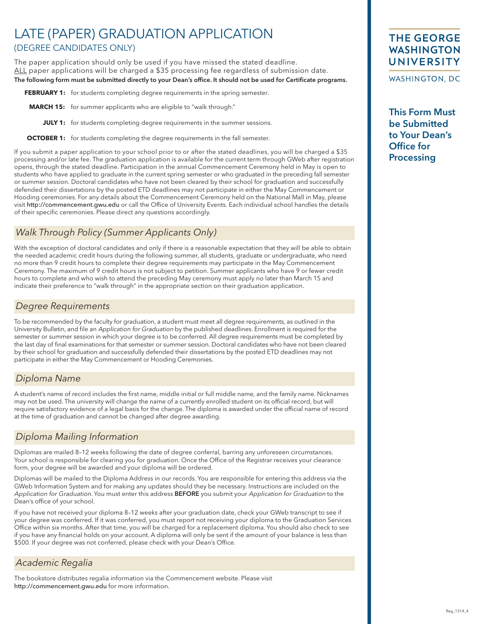# LATE (PAPER) GRADUATION APPLICATION (DEGREE CANDIDATES ONLY)

The paper application should only be used if you have missed the stated deadline. ALL paper applications will be charged a \$35 processing fee regardless of submission date. The following form must be submitted directly to your Dean's office. It should not be used for Certificate programs.

**FEBRUARY 1:** for students completing degree requirements in the spring semester.

**MARCH 15:** for summer applicants who are eligible to "walk through."

**JULY 1:** for students completing degree requirements in the summer sessions.

**OCTOBER 1:** for students completing the degree requirements in the fall semester.

If you submit a paper application to your school prior to or after the stated deadlines, you will be charged a \$35 processing and/or late fee. The graduation application is available for the current term through GWeb after registration opens, through the stated deadline. Participation in the annual Commencement Ceremony held in May is open to students who have applied to graduate in the current spring semester or who graduated in the preceding fall semester or summer session. Doctoral candidates who have not been cleared by their school for graduation and successfully defended their dissertations by the posted ETD deadlines may not participate in either the May Commencement or Hooding ceremonies. For any details about the Commencement Ceremony held on the National Mall in May, please visit http://commencement.gwu.edu or call the Office of University Events. Each individual school handles the details of their specific ceremonies. Please direct any questions accordingly.

## *Walk Through Policy (Summer Applicants Only)*

With the exception of doctoral candidates and only if there is a reasonable expectation that they will be able to obtain the needed academic credit hours during the following summer, all students, graduate or undergraduate, who need no more than 9 credit hours to complete their degree requirements may participate in the May Commencement Ceremony. The maximum of 9 credit hours is not subject to petition. Summer applicants who have 9 or fewer credit hours to complete and who wish to attend the preceding May ceremony must apply no later than March 15 and indicate their preference to "walk through" in the appropriate section on their graduation application.

#### *Degree Requirements*

To be recommended by the faculty for graduation, a student must meet all degree requirements, as outlined in the University Bulletin, and file an Application for Graduation by the published deadlines. Enrollment is required for the semester or summer session in which your degree is to be conferred. All degree requirements must be completed by the last day of final examinations for that semester or summer session. Doctoral candidates who have not been cleared by their school for graduation and successfully defended their dissertations by the posted ETD deadlines may not participate in either the May Commencement or Hooding Ceremonies.

#### *Diploma Name*

A student's name of record includes the first name, middle initial or full middle name, and the family name. Nicknames may not be used. The university will change the name of a currently enrolled student on its official record, but will require satisfactory evidence of a legal basis for the change. The diploma is awarded under the official name of record at the time of graduation and cannot be changed after degree awarding.

## *Diploma Mailing Information*

Diplomas are mailed 8–12 weeks following the date of degree conferral, barring any unforeseen circumstances. Your school is responsible for clearing you for graduation. Once the Office of the Registrar receives your clearance form, your degree will be awarded and your diploma will be ordered.

Diplomas will be mailed to the Diploma Address in our records. You are responsible for entering this address via the GWeb Information System and for making any updates should they be necessary. Instructions are included on the Application for Graduation. You must enter this address BEFORE you submit your Application for Graduation to the Dean's office of your school.

If you have not received your diploma 8–12 weeks after your graduation date, check your GWeb transcript to see if your degree was conferred. If it was conferred, you must report not receiving your diploma to the Graduation Services Office within six months. After that time, you will be charged for a replacement diploma. You should also check to see if you have any financial holds on your account. A diploma will only be sent if the amount of your balance is less than \$500. If your degree was not conferred, please check with your Dean's Office.

## *Academic Regalia*

The bookstore distributes regalia information via the Commencement website. Please visit http://commencement.gwu.edu for more information.

## **THE GEORGE WASHINGTON** UNIVERSITY

WASHINGTON, DC

This Form Must be Submitted to Your Dean's Office for **Processing**